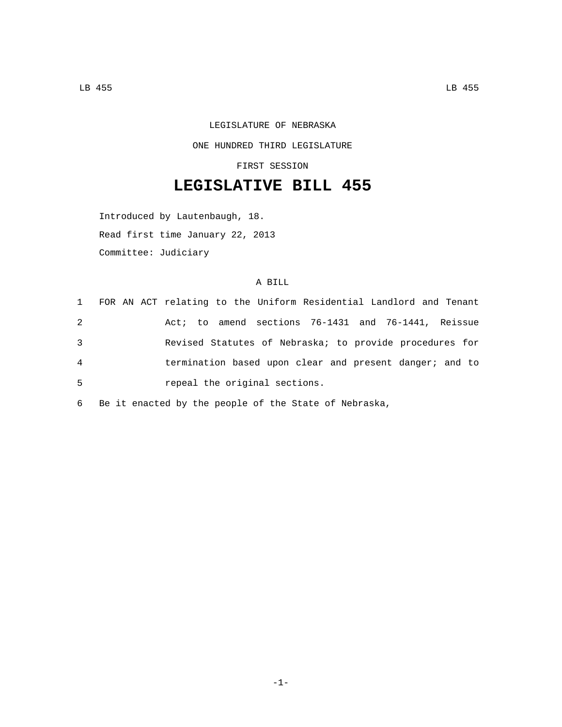LEGISLATURE OF NEBRASKA ONE HUNDRED THIRD LEGISLATURE

FIRST SESSION

## **LEGISLATIVE BILL 455**

Introduced by Lautenbaugh, 18. Read first time January 22, 2013 Committee: Judiciary

## A BILL

|                | 1 FOR AN ACT relating to the Uniform Residential Landlord and Tenant |
|----------------|----------------------------------------------------------------------|
| 2              | Act; to amend sections 76-1431 and 76-1441, Reissue                  |
| 3              | Revised Statutes of Nebraska; to provide procedures for              |
| $\overline{4}$ | termination based upon clear and present danger; and to              |
| 5              | repeal the original sections.                                        |

6 Be it enacted by the people of the State of Nebraska,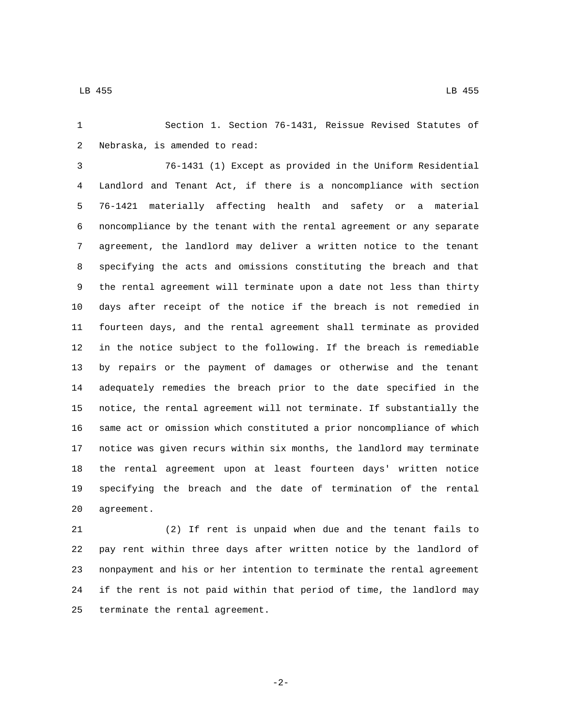Section 1. Section 76-1431, Reissue Revised Statutes of 2 Nebraska, is amended to read:

 76-1431 (1) Except as provided in the Uniform Residential Landlord and Tenant Act, if there is a noncompliance with section 76-1421 materially affecting health and safety or a material noncompliance by the tenant with the rental agreement or any separate agreement, the landlord may deliver a written notice to the tenant specifying the acts and omissions constituting the breach and that the rental agreement will terminate upon a date not less than thirty days after receipt of the notice if the breach is not remedied in fourteen days, and the rental agreement shall terminate as provided in the notice subject to the following. If the breach is remediable by repairs or the payment of damages or otherwise and the tenant adequately remedies the breach prior to the date specified in the notice, the rental agreement will not terminate. If substantially the same act or omission which constituted a prior noncompliance of which notice was given recurs within six months, the landlord may terminate the rental agreement upon at least fourteen days' written notice specifying the breach and the date of termination of the rental 20 agreement.

 (2) If rent is unpaid when due and the tenant fails to pay rent within three days after written notice by the landlord of nonpayment and his or her intention to terminate the rental agreement if the rent is not paid within that period of time, the landlord may 25 terminate the rental agreement.

-2-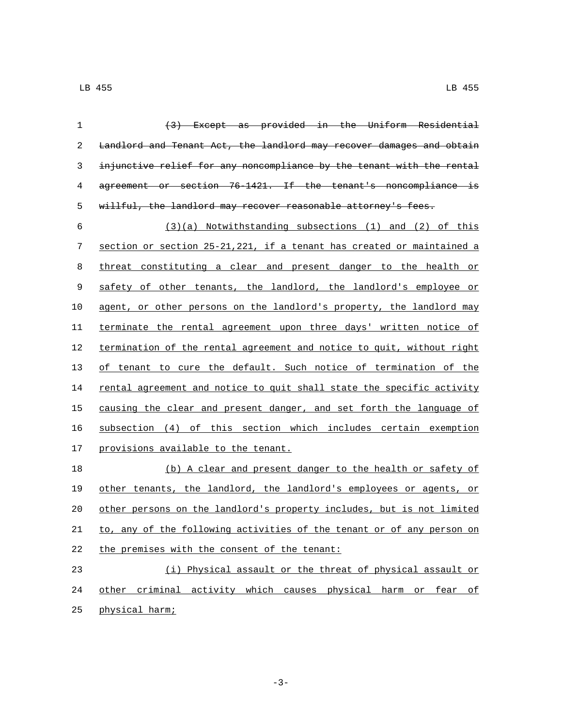| $\mathbf 1$ | (3) Except as provided in the Uniform Residential                      |
|-------------|------------------------------------------------------------------------|
| $\sqrt{2}$  | Landlord and Tenant Act, the landlord may recover damages and obtain   |
| 3           | injunctive relief for any noncompliance by the tenant with the rental  |
| 4           | agreement or section 76-1421. If the tenant's noncompliance is         |
| 5           | willful, the landlord may recover reasonable attorney's fees.          |
| 6           | $(3)(a)$ Notwithstanding subsections (1) and (2) of this               |
| 7           | section or section 25-21, 221, if a tenant has created or maintained a |
| 8           | threat constituting a clear and present danger to the health or        |
| 9           | safety of other tenants, the landlord, the landlord's employee or      |
| 10          | agent, or other persons on the landlord's property, the landlord may   |
| 11          | terminate the rental agreement upon three days' written notice of      |
| 12          | termination of the rental agreement and notice to quit, without right  |
| 13          | of tenant to cure the default. Such notice of termination of the       |
| 14          | rental agreement and notice to quit shall state the specific activity  |
| 15          | causing the clear and present danger, and set forth the language of    |
| 16          | subsection (4) of this section which includes certain exemption        |
| 17          | provisions available to the tenant.                                    |
| 18          | (b) A clear and present danger to the health or safety of              |
| 19          | other tenants, the landlord, the landlord's employees or agents, or    |
| 20          | other persons on the landlord's property includes, but is not limited  |
| 21          | to, any of the following activities of the tenant or of any person on  |
| 22          | the premises with the consent of the tenant:                           |
| 23          | (i) Physical assault or the threat of physical assault or              |
| 24          | other criminal activity which causes physical harm or fear of          |
| 25          | physical harm;                                                         |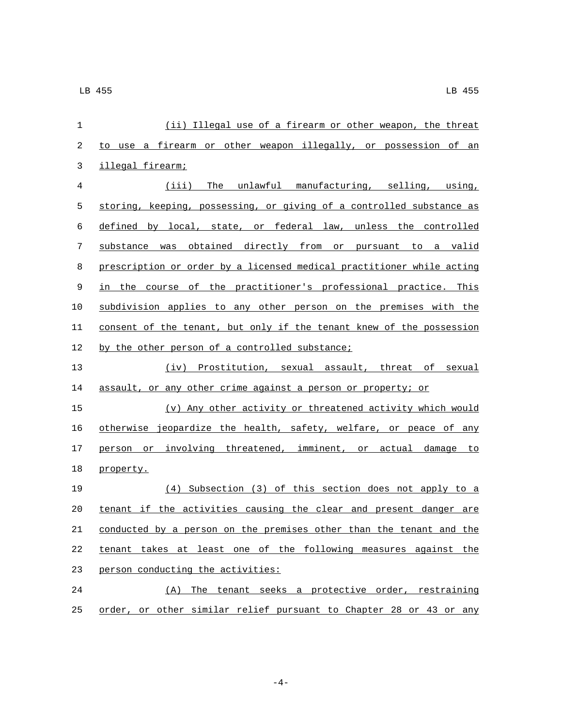| 1  | (ii) Illegal use of a firearm or other weapon, the threat             |
|----|-----------------------------------------------------------------------|
| 2  | to use a firearm or other weapon illegally, or possession of an       |
| 3  | <u>illegal firearm;</u>                                               |
| 4  | (iii) The unlawful manufacturing, selling, using,                     |
| 5  | storing, keeping, possessing, or giving of a controlled substance as  |
| 6  | defined by local, state, or federal law, unless the controlled        |
| 7  | substance was obtained directly from or pursuant to a valid           |
| 8  | prescription or order by a licensed medical practitioner while acting |
| 9  | in the course of the practitioner's professional practice. This       |
| 10 | subdivision applies to any other person on the premises with the      |
| 11 | consent of the tenant, but only if the tenant knew of the possession  |
| 12 | by the other person of a controlled substance;                        |
| 13 | (iv) Prostitution, sexual assault, threat of sexual                   |
| 14 | assault, or any other crime against a person or property; or          |
| 15 | (v) Any other activity or threatened activity which would             |
| 16 | otherwise jeopardize the health, safety, welfare, or peace of any     |
| 17 | person or involving threatened, imminent, or actual damage to         |
| 18 | property.                                                             |
| 19 | (4) Subsection (3) of this section does not apply to a                |
| 20 | tenant if the activities causing the clear and present danger are     |
| 21 | conducted by a person on the premises other than the tenant and the   |
| 22 | tenant takes at least one of the following measures against the       |
| 23 | person conducting the activities:                                     |
| 24 | (A) The tenant seeks a protective order, restraining                  |
| 25 | order, or other similar relief pursuant to Chapter 28 or 43 or any    |

-4-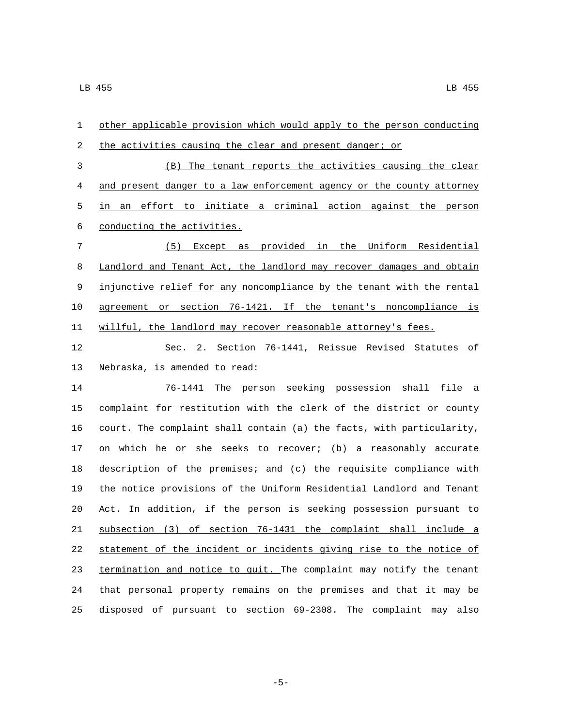| 1  | other applicable provision which would apply to the person conducting |
|----|-----------------------------------------------------------------------|
| 2  | the activities causing the clear and present danger; or               |
| 3  | (B) The tenant reports the activities causing the clear               |
| 4  | and present danger to a law enforcement agency or the county attorney |
| 5  | in an effort to initiate a criminal action against the person         |
| 6  | conducting the activities.                                            |
| 7  | (5) Except as provided in the Uniform Residential                     |
| 8  | Landlord and Tenant Act, the landlord may recover damages and obtain  |
| 9  | injunctive relief for any noncompliance by the tenant with the rental |
| 10 | agreement or section 76-1421. If the tenant's noncompliance is        |
| 11 | willful, the landlord may recover reasonable attorney's fees.         |
| 12 | Sec. 2. Section 76-1441, Reissue Revised Statutes of                  |
| 13 | Nebraska, is amended to read:                                         |
| 14 | The person seeking possession shall<br>76–1441<br>file a              |
| 15 | complaint for restitution with the clerk of the district or county    |
| 16 | court. The complaint shall contain (a) the facts, with particularity, |
| 17 | on which he or she seeks to recover; (b) a reasonably accurate        |
| 18 | description of the premises; and (c) the requisite compliance with    |
| 19 | the notice provisions of the Uniform Residential Landlord and Tenant  |
| 20 | Act. In addition, if the person is seeking possession pursuant to     |
| 21 | subsection (3) of section 76-1431 the complaint shall include a       |
| 22 | statement of the incident or incidents giving rise to the notice of   |
| 23 | termination and notice to quit. The complaint may notify the tenant   |
| 24 | that personal property remains on the premises and that it may be     |

disposed of pursuant to section 69-2308. The complaint may also

-5-